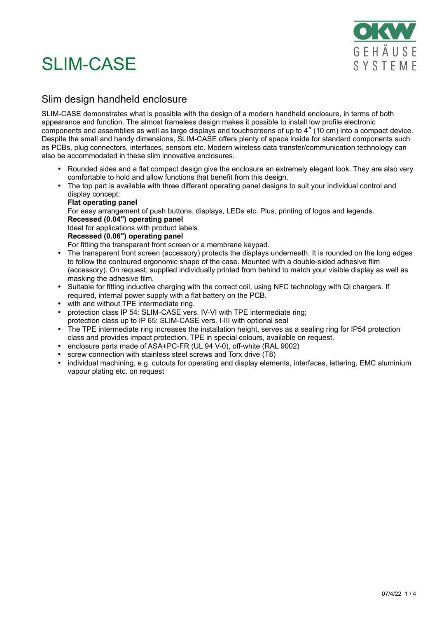

### Slim design handheld enclosure

SLIM-CASE demonstrates what is possible with the design of a modern handheld enclosure, in terms of both appearance and function. The almost frameless design makes it possible to install low profile electronic components and assemblies as well as large displays and touchscreens of up to 4" (10 cm) into a compact device. Despite the small and handy dimensions, SLIM-CASE offers plenty of space inside for standard components such as PCBs, plug connectors, interfaces, sensors etc. Modern wireless data transfer/communication technology can also be accommodated in these slim innovative enclosures.

- Rounded sides and a flat compact design give the enclosure an extremely elegant look. They are also very comfortable to hold and allow functions that benefit from this design.
- The top part is available with three different operating panel designs to suit your individual control and display concept:

#### **Flat operating panel**

For easy arrangement of push buttons, displays, LEDs etc. Plus, printing of logos and legends. **Recessed (0.04") operating panel**

Ideal for applications with product labels.

### **Recessed (0.06") operating panel**

For fitting the transparent front screen or a membrane keypad.

- The transparent front screen (accessory) protects the displays underneath. It is rounded on the long edges to follow the contoured ergonomic shape of the case. Mounted with a double-sided adhesive film (accessory). On request, supplied individually printed from behind to match your visible display as well as masking the adhesive film.
- Suitable for fitting inductive charging with the correct coil, using NFC technology with Qi chargers. If required, internal power supply with a flat battery on the PCB.
- with and without TPE intermediate ring.
- protection class IP 54: SLIM-CASE vers. IV-VI with TPE intermediate ring; protection class up to IP 65: SLIM-CASE vers. I-III with optional seal
- The TPE intermediate ring increases the installation height, serves as a sealing ring for IP54 protection class and provides impact protection. TPE in special colours, available on request.
- enclosure parts made of ASA+PC-FR (UL 94 V-0), off-white (RAL 9002)
- screw connection with stainless steel screws and Torx drive (T8)
- individual machining, e.g. cutouts for operating and display elements, interfaces, lettering, EMC aluminium vapour plating etc. on request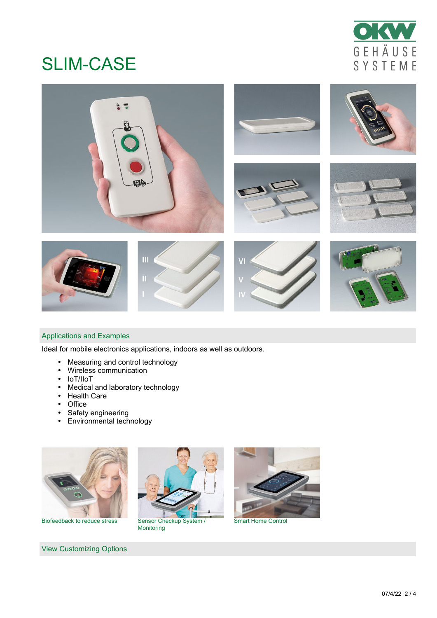



### Applications and Examples

Ideal for mobile electronics applications, indoors as well as outdoors.

- Measuring and control technology
- Wireless communication
- IoT/IIoT
- Medical and laboratory technology
- Health Care
- Office
- Safety engineering
- Environmental technology



Biofeedback to reduce stress Sensor Checkup System /

View Customizing Options



Monitoring



Smart Home Control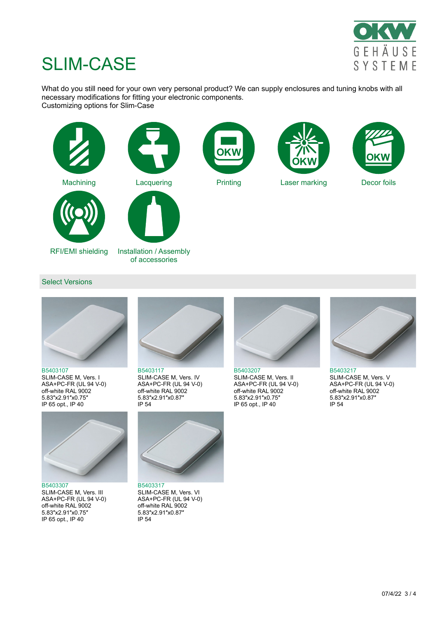

What do you still need for your own very personal product? We can supply enclosures and tuning knobs with all necessary modifications for fitting your electronic components. Customizing options for Slim-Case



#### Select Versions



[B5403107](https://www.okwenclosures.com/en/Slim-Case/B5403107.htm) SLIM-CASE M, Vers. I ASA+PC-FR (UL 94 V-0) off-white RAL 9002 5.83″x2.91″x0.75″ IP 65 opt., IP 40



[B5403307](https://www.okwenclosures.com/en/Slim-Case/B5403307.htm) SLIM-CASE M, Vers. III ASA+PC-FR (UL 94 V-0) off-white RAL 9002 5.83″x2.91″x0.75″ IP 65 opt., IP 40



[B5403117](https://www.okwenclosures.com/en/Slim-Case/B5403117.htm) SLIM-CASE M, Vers. IV ASA+PC-FR (UL 94 V-0) off-white RAL 9002 5.83″x2.91″x0.87″ IP 54



[B5403317](https://www.okwenclosures.com/en/Slim-Case/B5403317.htm) SLIM-CASE M, Vers. VI ASA+PC-FR (UL 94 V-0) off-white RAL 9002 5.83″x2.91″x0.87″ IP 54



[B5403207](https://www.okwenclosures.com/en/Slim-Case/B5403207.htm) SLIM-CASE M, Vers. II ASA+PC-FR (UL 94 V-0) off-white RAL 9002 5.83″x2.91″x0.75″ IP 65 opt., IP 40



[B5403217](https://www.okwenclosures.com/en/Slim-Case/B5403217.htm) SLIM-CASE M, Vers. V ASA+PC-FR (UL 94 V-0) off-white RAL 9002 5.83″x2.91″x0.87″ IP 54